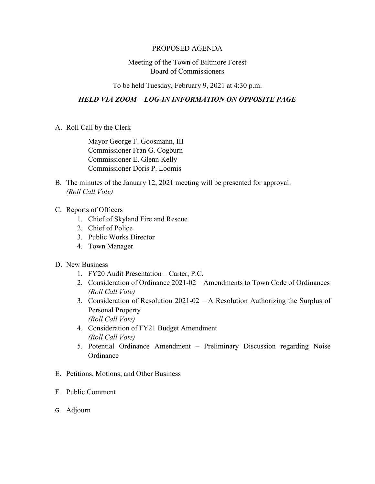## PROPOSED AGENDA

## Meeting of the Town of Biltmore Forest Board of Commissioners

To be held Tuesday, February 9, 2021 at 4:30 p.m.

## *HELD VIA ZOOM – LOG-IN INFORMATION ON OPPOSITE PAGE*

A. Roll Call by the Clerk

Mayor George F. Goosmann, III Commissioner Fran G. Cogburn Commissioner E. Glenn Kelly Commissioner Doris P. Loomis

- B. The minutes of the January 12, 2021 meeting will be presented for approval. *(Roll Call Vote)*
- C. Reports of Officers
	- 1. Chief of Skyland Fire and Rescue
	- 2. Chief of Police
	- 3. Public Works Director
	- 4. Town Manager
- D. New Business
	- 1. FY20 Audit Presentation Carter, P.C.
	- 2. Consideration of Ordinance 2021-02 Amendments to Town Code of Ordinances *(Roll Call Vote)*
	- 3. Consideration of Resolution 2021-02 A Resolution Authorizing the Surplus of Personal Property *(Roll Call Vote)*
	- 4. Consideration of FY21 Budget Amendment *(Roll Call Vote)*
	- 5. Potential Ordinance Amendment Preliminary Discussion regarding Noise **Ordinance**
- E. Petitions, Motions, and Other Business
- F. Public Comment
- G. Adjourn